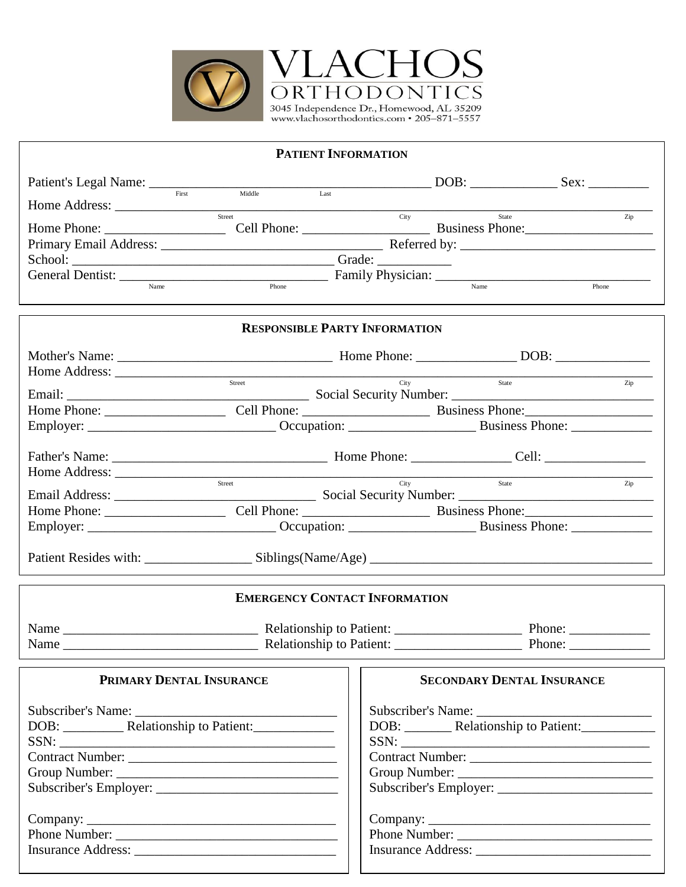

| <b>PATIENT INFORMATION</b>                                                 |                                                                                                                                                                                                                                |                                                        |                                   |        |  |  |  |  |
|----------------------------------------------------------------------------|--------------------------------------------------------------------------------------------------------------------------------------------------------------------------------------------------------------------------------|--------------------------------------------------------|-----------------------------------|--------|--|--|--|--|
|                                                                            |                                                                                                                                                                                                                                |                                                        |                                   |        |  |  |  |  |
|                                                                            |                                                                                                                                                                                                                                |                                                        |                                   |        |  |  |  |  |
| Street                                                                     |                                                                                                                                                                                                                                |                                                        | City<br>State                     | Zip    |  |  |  |  |
|                                                                            |                                                                                                                                                                                                                                |                                                        |                                   |        |  |  |  |  |
|                                                                            | School: Changes Changes Changes Changes Changes Changes Changes Changes Changes Changes Changes Changes Changes Changes Changes Changes Changes Changes Changes Changes Changes Changes Changes Changes Changes Changes Change |                                                        |                                   |        |  |  |  |  |
| General Dentist: <u>Name</u> Phone Family Physician: Name Name Phone Phone |                                                                                                                                                                                                                                |                                                        |                                   |        |  |  |  |  |
|                                                                            |                                                                                                                                                                                                                                |                                                        |                                   |        |  |  |  |  |
|                                                                            | <b>RESPONSIBLE PARTY INFORMATION</b>                                                                                                                                                                                           |                                                        |                                   |        |  |  |  |  |
|                                                                            |                                                                                                                                                                                                                                |                                                        |                                   |        |  |  |  |  |
| Home Address: <u>Street State State</u>                                    |                                                                                                                                                                                                                                |                                                        |                                   |        |  |  |  |  |
|                                                                            |                                                                                                                                                                                                                                |                                                        |                                   |        |  |  |  |  |
|                                                                            |                                                                                                                                                                                                                                |                                                        |                                   |        |  |  |  |  |
|                                                                            |                                                                                                                                                                                                                                |                                                        |                                   |        |  |  |  |  |
|                                                                            |                                                                                                                                                                                                                                |                                                        |                                   |        |  |  |  |  |
|                                                                            |                                                                                                                                                                                                                                |                                                        |                                   |        |  |  |  |  |
| Function City State<br>From Address: City State City State                 |                                                                                                                                                                                                                                |                                                        |                                   | Zip    |  |  |  |  |
|                                                                            |                                                                                                                                                                                                                                |                                                        |                                   |        |  |  |  |  |
|                                                                            |                                                                                                                                                                                                                                |                                                        |                                   |        |  |  |  |  |
|                                                                            |                                                                                                                                                                                                                                |                                                        |                                   |        |  |  |  |  |
|                                                                            |                                                                                                                                                                                                                                |                                                        |                                   |        |  |  |  |  |
|                                                                            |                                                                                                                                                                                                                                |                                                        |                                   |        |  |  |  |  |
|                                                                            | <b>EMERGENCY CONTACT INFORMATION</b>                                                                                                                                                                                           |                                                        |                                   |        |  |  |  |  |
|                                                                            |                                                                                                                                                                                                                                |                                                        | Phone: $\qquad \qquad$            |        |  |  |  |  |
| Name                                                                       | Relationship to Patient: ___________                                                                                                                                                                                           |                                                        |                                   | Phone: |  |  |  |  |
|                                                                            |                                                                                                                                                                                                                                |                                                        |                                   |        |  |  |  |  |
| PRIMARY DENTAL INSURANCE                                                   |                                                                                                                                                                                                                                |                                                        | <b>SECONDARY DENTAL INSURANCE</b> |        |  |  |  |  |
|                                                                            |                                                                                                                                                                                                                                |                                                        |                                   |        |  |  |  |  |
|                                                                            |                                                                                                                                                                                                                                | DOB: _________ Relationship to Patient: ______________ |                                   |        |  |  |  |  |
| $SSN: \underline{\hspace{2cm} \qquad \qquad }$                             |                                                                                                                                                                                                                                |                                                        |                                   |        |  |  |  |  |
|                                                                            |                                                                                                                                                                                                                                |                                                        |                                   |        |  |  |  |  |
|                                                                            |                                                                                                                                                                                                                                |                                                        |                                   |        |  |  |  |  |
|                                                                            |                                                                                                                                                                                                                                |                                                        |                                   |        |  |  |  |  |
|                                                                            |                                                                                                                                                                                                                                |                                                        |                                   |        |  |  |  |  |
|                                                                            |                                                                                                                                                                                                                                |                                                        |                                   |        |  |  |  |  |
|                                                                            |                                                                                                                                                                                                                                |                                                        |                                   |        |  |  |  |  |
|                                                                            |                                                                                                                                                                                                                                |                                                        |                                   |        |  |  |  |  |